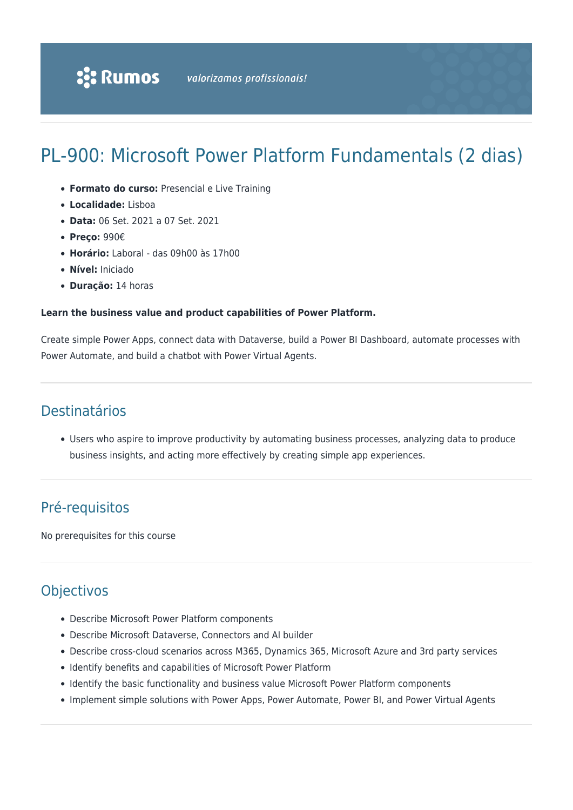# PL-900: Microsoft Power Platform Fundamentals (2 dias)

- **Formato do curso:** Presencial e Live Training
- **Localidade:** Lisboa
- **Data:** 06 Set. 2021 a 07 Set. 2021
- **Preço:** 990€
- **Horário:** Laboral das 09h00 às 17h00
- **Nível:** Iniciado
- **Duração:** 14 horas

#### **Learn the business value and product capabilities of Power Platform.**

Create simple Power Apps, connect data with Dataverse, build a Power BI Dashboard, automate processes with Power Automate, and build a chatbot with Power Virtual Agents.

### Destinatários

Users who aspire to improve productivity by automating business processes, analyzing data to produce business insights, and acting more effectively by creating simple app experiences.

## Pré-requisitos

No prerequisites for this course

### **Objectivos**

- Describe Microsoft Power Platform components
- Describe Microsoft Dataverse, Connectors and AI builder
- Describe cross-cloud scenarios across M365, Dynamics 365, Microsoft Azure and 3rd party services
- Identify benefits and capabilities of Microsoft Power Platform
- Identify the basic functionality and business value Microsoft Power Platform components
- Implement simple solutions with Power Apps, Power Automate, Power BI, and Power Virtual Agents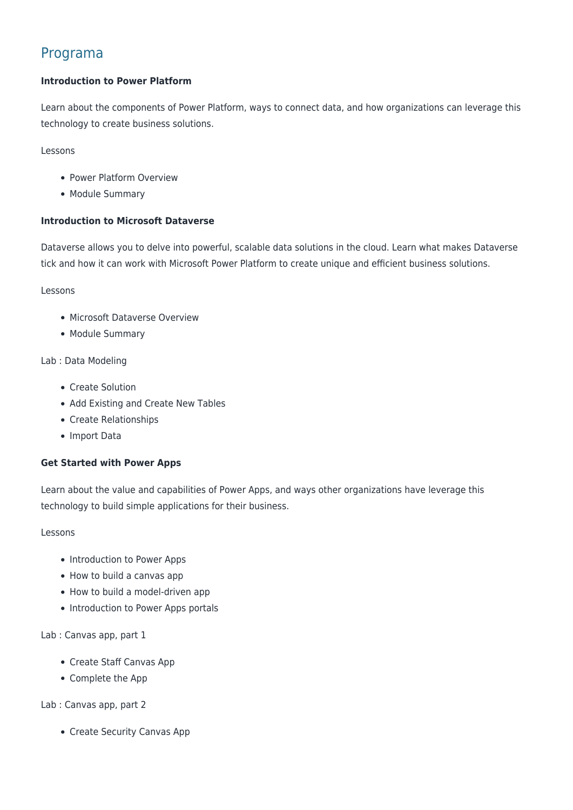### Programa

#### **Introduction to Power Platform**

Learn about the components of Power Platform, ways to connect data, and how organizations can leverage this technology to create business solutions.

Lessons

- Power Platform Overview
- Module Summary

#### **Introduction to Microsoft Dataverse**

Dataverse allows you to delve into powerful, scalable data solutions in the cloud. Learn what makes Dataverse tick and how it can work with Microsoft Power Platform to create unique and efficient business solutions.

Lessons

- Microsoft Dataverse Overview
- Module Summary

#### Lab : Data Modeling

- Create Solution
- Add Existing and Create New Tables
- Create Relationships
- Import Data

#### **Get Started with Power Apps**

Learn about the value and capabilities of Power Apps, and ways other organizations have leverage this technology to build simple applications for their business.

#### Lessons

- Introduction to Power Apps
- How to build a canvas app
- How to build a model-driven app
- Introduction to Power Apps portals

Lab : Canvas app, part 1

- Create Staff Canvas App
- Complete the App

Lab : Canvas app, part 2

• Create Security Canvas App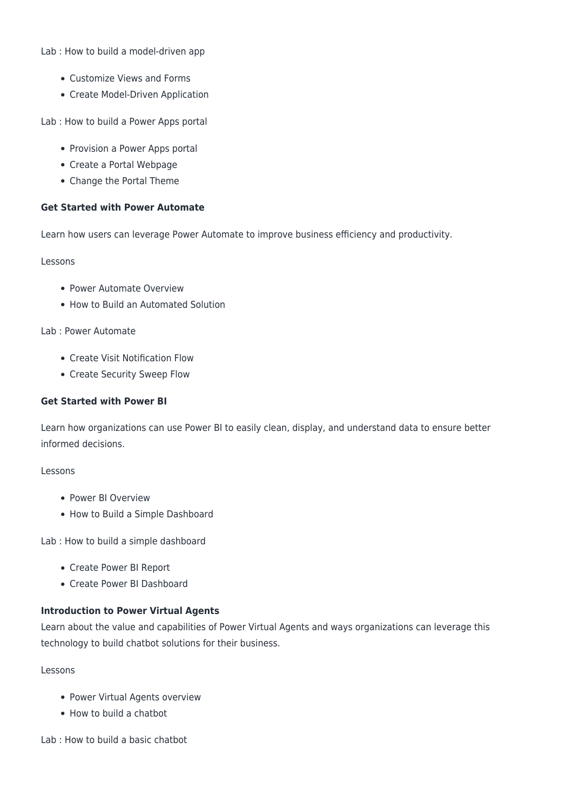Lab : How to build a model-driven app

- Customize Views and Forms
- Create Model-Driven Application

Lab : How to build a Power Apps portal

- Provision a Power Apps portal
- Create a Portal Webpage
- Change the Portal Theme

#### **Get Started with Power Automate**

Learn how users can leverage Power Automate to improve business efficiency and productivity.

Lessons

- Power Automate Overview
- How to Build an Automated Solution

Lab : Power Automate

- Create Visit Notification Flow
- Create Security Sweep Flow

#### **Get Started with Power BI**

Learn how organizations can use Power BI to easily clean, display, and understand data to ensure better informed decisions.

#### Lessons

- Power BI Overview
- How to Build a Simple Dashboard

Lab : How to build a simple dashboard

- Create Power BI Report
- Create Power BI Dashboard

#### **Introduction to Power Virtual Agents**

Learn about the value and capabilities of Power Virtual Agents and ways organizations can leverage this technology to build chatbot solutions for their business.

Lessons

- Power Virtual Agents overview
- How to build a chatbot

Lab : How to build a basic chatbot